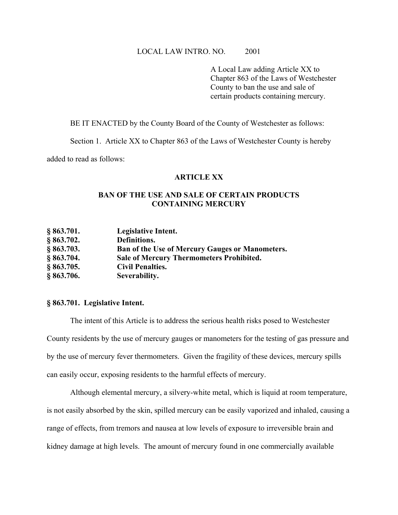## LOCAL LAW INTRO. NO. 2001

A Local Law adding Article XX to Chapter 863 of the Laws of Westchester County to ban the use and sale of certain products containing mercury.

BE IT ENACTED by the County Board of the County of Westchester as follows:

Section 1. Article XX to Chapter 863 of the Laws of Westchester County is hereby

added to read as follows:

# **ARTICLE XX**

# **BAN OF THE USE AND SALE OF CERTAIN PRODUCTS CONTAINING MERCURY**

| § 863.701. | Legislative Intent.                                    |
|------------|--------------------------------------------------------|
| § 863.702. | Definitions.                                           |
| § 863.703. | <b>Ban of the Use of Mercury Gauges or Manometers.</b> |
| § 863.704. | <b>Sale of Mercury Thermometers Prohibited.</b>        |
| § 863.705. | <b>Civil Penalties.</b>                                |
| § 863.706. | Severability.                                          |

#### **§ 863.701. Legislative Intent.**

The intent of this Article is to address the serious health risks posed to Westchester County residents by the use of mercury gauges or manometers for the testing of gas pressure and by the use of mercury fever thermometers. Given the fragility of these devices, mercury spills can easily occur, exposing residents to the harmful effects of mercury.

Although elemental mercury, a silvery-white metal, which is liquid at room temperature, is not easily absorbed by the skin, spilled mercury can be easily vaporized and inhaled, causing a range of effects, from tremors and nausea at low levels of exposure to irreversible brain and kidney damage at high levels. The amount of mercury found in one commercially available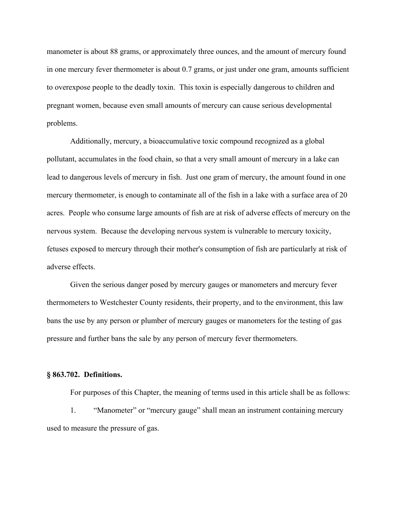manometer is about 88 grams, or approximately three ounces, and the amount of mercury found in one mercury fever thermometer is about 0.7 grams, or just under one gram, amounts sufficient to overexpose people to the deadly toxin. This toxin is especially dangerous to children and pregnant women, because even small amounts of mercury can cause serious developmental problems.

Additionally, mercury, a bioaccumulative toxic compound recognized as a global pollutant, accumulates in the food chain, so that a very small amount of mercury in a lake can lead to dangerous levels of mercury in fish. Just one gram of mercury, the amount found in one mercury thermometer, is enough to contaminate all of the fish in a lake with a surface area of 20 acres. People who consume large amounts of fish are at risk of adverse effects of mercury on the nervous system. Because the developing nervous system is vulnerable to mercury toxicity, fetuses exposed to mercury through their mother's consumption of fish are particularly at risk of adverse effects.

Given the serious danger posed by mercury gauges or manometers and mercury fever thermometers to Westchester County residents, their property, and to the environment, this law bans the use by any person or plumber of mercury gauges or manometers for the testing of gas pressure and further bans the sale by any person of mercury fever thermometers.

#### **§ 863.702. Definitions.**

For purposes of this Chapter, the meaning of terms used in this article shall be as follows: 1. "Manometer" or "mercury gauge" shall mean an instrument containing mercury used to measure the pressure of gas.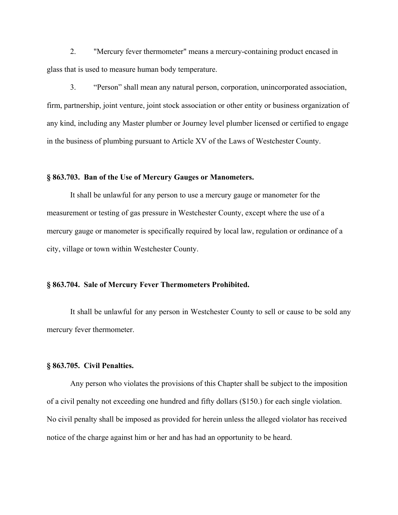2. "Mercury fever thermometer" means a mercury-containing product encased in glass that is used to measure human body temperature.

3. "Person" shall mean any natural person, corporation, unincorporated association, firm, partnership, joint venture, joint stock association or other entity or business organization of any kind, including any Master plumber or Journey level plumber licensed or certified to engage in the business of plumbing pursuant to Article XV of the Laws of Westchester County.

#### **§ 863.703. Ban of the Use of Mercury Gauges or Manometers.**

It shall be unlawful for any person to use a mercury gauge or manometer for the measurement or testing of gas pressure in Westchester County, except where the use of a mercury gauge or manometer is specifically required by local law, regulation or ordinance of a city, village or town within Westchester County.

#### **§ 863.704. Sale of Mercury Fever Thermometers Prohibited.**

It shall be unlawful for any person in Westchester County to sell or cause to be sold any mercury fever thermometer.

## **§ 863.705. Civil Penalties.**

Any person who violates the provisions of this Chapter shall be subject to the imposition of a civil penalty not exceeding one hundred and fifty dollars (\$150.) for each single violation. No civil penalty shall be imposed as provided for herein unless the alleged violator has received notice of the charge against him or her and has had an opportunity to be heard.